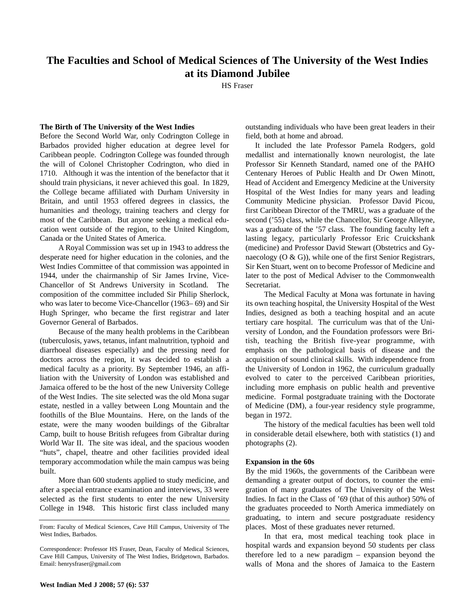# **The Faculties and School of Medical Sciences of The University of the West Indies at its Diamond Jubilee**

HS Fraser

# **The Birth of The University of the West Indies**

Before the Second World War, only Codrington College in Barbados provided higher education at degree level for Caribbean people. Codrington College was founded through the will of Colonel Christopher Codrington, who died in 1710. Although it was the intention of the benefactor that it should train physicians, it never achieved this goal. In 1829, the College became affiliated with Durham University in Britain, and until 1953 offered degrees in classics, the humanities and theology, training teachers and clergy for most of the Caribbean. But anyone seeking a medical education went outside of the region, to the United Kingdom, Canada or the United States of America.

A Royal Commission was set up in 1943 to address the desperate need for higher education in the colonies, and the West Indies Committee of that commission was appointed in 1944, under the chairmanship of Sir James Irvine, Vice-Chancellor of St Andrews University in Scotland. The composition of the committee included Sir Philip Sherlock, who was later to become Vice-Chancellor (1963– 69) and Sir Hugh Springer, who became the first registrar and later Governor General of Barbados.

Because of the many health problems in the Caribbean (tuberculosis, yaws, tetanus, infant malnutrition, typhoid and diarrhoeal diseases especially) and the pressing need for doctors across the region, it was decided to establish a medical faculty as a priority. By September 1946, an affiliation with the University of London was established and Jamaica offered to be the host of the new University College of the West Indies. The site selected was the old Mona sugar estate, nestled in a valley between Long Mountain and the foothills of the Blue Mountains. Here, on the lands of the estate, were the many wooden buildings of the Gibraltar Camp, built to house British refugees from Gibraltar during World War II. The site was ideal, and the spacious wooden "huts", chapel, theatre and other facilities provided ideal temporary accommodation while the main campus was being built.

More than 600 students applied to study medicine, and after a special entrance examination and interviews, 33 were selected as the first students to enter the new University College in 1948. This historic first class included many outstanding individuals who have been great leaders in their field, both at home and abroad.

It included the late Professor Pamela Rodgers, gold medallist and internationally known neurologist, the late Professor Sir Kenneth Standard, named one of the PAHO Centenary Heroes of Public Health and Dr Owen Minott, Head of Accident and Emergency Medicine at the University Hospital of the West Indies for many years and leading Community Medicine physician. Professor David Picou, first Caribbean Director of the TMRU, was a graduate of the second ('55) class, while the Chancellor, Sir George Alleyne, was a graduate of the '57 class. The founding faculty left a lasting legacy, particularly Professor Eric Cruickshank (medicine) and Professor David Stewart (Obstetrics and Gynaecology (O & G)), while one of the first Senior Registrars, Sir Ken Stuart, went on to become Professor of Medicine and later to the post of Medical Adviser to the Commonwealth Secretariat.

The Medical Faculty at Mona was fortunate in having its own teaching hospital, the University Hospital of the West Indies, designed as both a teaching hospital and an acute tertiary care hospital. The curriculum was that of the University of London, and the Foundation professors were British, teaching the British five-year programme, with emphasis on the pathological basis of disease and the acquisition of sound clinical skills. With independence from the University of London in 1962, the curriculum gradually evolved to cater to the perceived Caribbean priorities, including more emphasis on public health and preventive medicine. Formal postgraduate training with the Doctorate of Medicine (DM), a four-year residency style programme, began in 1972.

The history of the medical faculties has been well told in considerable detail elsewhere, both with statistics (1) and photographs (2).

## **Expansion in the 60s**

By the mid 1960s, the governments of the Caribbean were demanding a greater output of doctors, to counter the emigration of many graduates of The University of the West Indies. In fact in the Class of '69 (that of this author) 50% of the graduates proceeded to North America immediately on graduating, to intern and secure postgraduate residency places. Most of these graduates never returned.

In that era, most medical teaching took place in hospital wards and expansion beyond 50 students per class therefore led to a new paradigm – expansion beyond the walls of Mona and the shores of Jamaica to the Eastern

From: Faculty of Medical Sciences, Cave Hill Campus, University of The West Indies, Barbados.

Correspondence: Professor HS Fraser, Dean, Faculty of Medical Sciences, Cave Hill Campus, University of The West Indies, Bridgetown, Barbados. Email: henrysfraser@gmail.com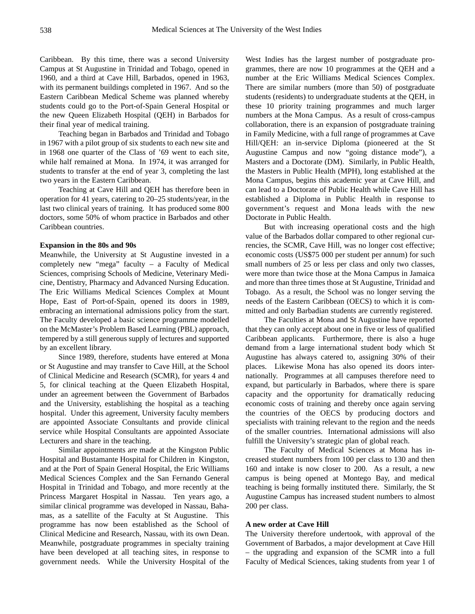Caribbean. By this time, there was a second University Campus at St Augustine in Trinidad and Tobago, opened in 1960, and a third at Cave Hill, Barbados, opened in 1963, with its permanent buildings completed in 1967. And so the Eastern Caribbean Medical Scheme was planned whereby students could go to the Port-of-Spain General Hospital or the new Queen Elizabeth Hospital (QEH) in Barbados for their final year of medical training.

Teaching began in Barbados and Trinidad and Tobago in 1967 with a pilot group of six students to each new site and in 1968 one quarter of the Class of '69 went to each site, while half remained at Mona. In 1974, it was arranged for students to transfer at the end of year 3, completing the last two years in the Eastern Caribbean.

Teaching at Cave Hill and QEH has therefore been in operation for 41 years, catering to 20–25 students/year, in the last two clinical years of training. It has produced some 800 doctors, some 50% of whom practice in Barbados and other Caribbean countries.

#### **Expansion in the 80s and 90s**

Meanwhile, the University at St Augustine invested in a completely new "mega" faculty – a Faculty of Medical Sciences, comprising Schools of Medicine, Veterinary Medicine, Dentistry, Pharmacy and Advanced Nursing Education. The Eric Williams Medical Sciences Complex at Mount Hope, East of Port-of-Spain, opened its doors in 1989, embracing an international admissions policy from the start. The Faculty developed a basic science programme modelled on the McMaster's Problem Based Learning (PBL) approach, tempered by a still generous supply of lectures and supported by an excellent library.

Since 1989, therefore, students have entered at Mona or St Augustine and may transfer to Cave Hill, at the School of Clinical Medicine and Research (SCMR), for years 4 and 5, for clinical teaching at the Queen Elizabeth Hospital, under an agreement between the Government of Barbados and the University, establishing the hospital as a teaching hospital. Under this agreement, University faculty members are appointed Associate Consultants and provide clinical service while Hospital Consultants are appointed Associate Lecturers and share in the teaching.

Similar appointments are made at the Kingston Public Hospital and Bustamante Hospital for Children in Kingston, and at the Port of Spain General Hospital, the Eric Williams Medical Sciences Complex and the San Fernando General Hospital in Trinidad and Tobago, and more recently at the Princess Margaret Hospital in Nassau. Ten years ago, a similar clinical programme was developed in Nassau, Bahamas, as a satellite of the Faculty at St Augustine. This programme has now been established as the School of Clinical Medicine and Research, Nassau, with its own Dean. Meanwhile, postgraduate programmes in specialty training have been developed at all teaching sites, in response to government needs. While the University Hospital of the West Indies has the largest number of postgraduate programmes, there are now 10 programmes at the QEH and a number at the Eric Williams Medical Sciences Complex. There are similar numbers (more than 50) of postgraduate students (residents) to undergraduate students at the QEH, in these 10 priority training programmes and much larger numbers at the Mona Campus. As a result of cross-campus collaboration, there is an expansion of postgraduate training in Family Medicine, with a full range of programmes at Cave Hill/QEH: an in-service Diploma (pioneered at the St Augustine Campus and now "going distance mode"), a Masters and a Doctorate (DM). Similarly, in Public Health, the Masters in Public Health (MPH), long established at the Mona Campus, begins this academic year at Cave Hill, and can lead to a Doctorate of Public Health while Cave Hill has established a Diploma in Public Health in response to government's request and Mona leads with the new Doctorate in Public Health.

But with increasing operational costs and the high value of the Barbados dollar compared to other regional currencies, the SCMR, Cave Hill, was no longer cost effective; economic costs (US\$75 000 per student per annum) for such small numbers of 25 or less per class and only two classes, were more than twice those at the Mona Campus in Jamaica and more than three times those at St Augustine, Trinidad and Tobago. As a result, the School was no longer serving the needs of the Eastern Caribbean (OECS) to which it is committed and only Barbadian students are currently registered.

The Faculties at Mona and St Augustine have reported that they can only accept about one in five or less of qualified Caribbean applicants. Furthermore, there is also a huge demand from a large international student body which St Augustine has always catered to, assigning 30% of their places. Likewise Mona has also opened its doors internationally. Programmes at all campuses therefore need to expand, but particularly in Barbados, where there is spare capacity and the opportunity for dramatically reducing economic costs of training and thereby once again serving the countries of the OECS by producing doctors and specialists with training relevant to the region and the needs of the smaller countries. International admissions will also fulfill the University's strategic plan of global reach.

The Faculty of Medical Sciences at Mona has increased student numbers from 100 per class to 130 and then 160 and intake is now closer to 200. As a result, a new campus is being opened at Montego Bay, and medical teaching is being formally instituted there. Similarly, the St Augustine Campus has increased student numbers to almost 200 per class.

## **A new order at Cave Hill**

The University therefore undertook, with approval of the Government of Barbados, a major development at Cave Hill – the upgrading and expansion of the SCMR into a full Faculty of Medical Sciences, taking students from year 1 of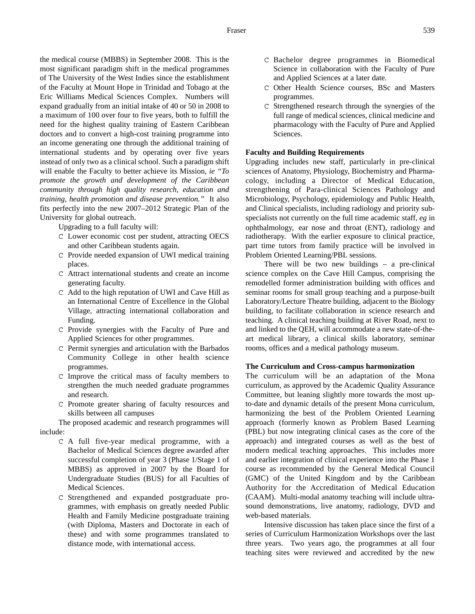the medical course (MBBS) in September 2008. This is the most significant paradigm shift in the medical programmes of The University of the West Indies since the establishment of the Faculty at Mount Hope in Trinidad and Tobago at the Eric Williams Medical Sciences Complex. Numbers will expand gradually from an initial intake of 40 or 50 in 2008 to a maximum of 100 over four to five years, both to fulfill the need for the highest quality training of Eastern Caribbean doctors and to convert a high-cost training programme into an income generating one through the additional training of international students and by operating over five years instead of only two as a clinical school. Such a paradigm shift will enable the Faculty to better achieve its Mission, *ie "To promote the growth and development of the Caribbean community through high quality research, education and training, health promotion and disease prevention."* It also fits perfectly into the new 2007–2012 Strategic Plan of the University for global outreach.

Upgrading to a full faculty will:

- C Lower economic cost per student, attracting OECS and other Caribbean students again.
- C Provide needed expansion of UWI medical training places.
- C Attract international students and create an income generating faculty.
- C Add to the high reputation of UWI and Cave Hill as an International Centre of Excellence in the Global Village, attracting international collaboration and Funding.
- C Provide synergies with the Faculty of Pure and Applied Sciences for other programmes.
- C Permit synergies and articulation with the Barbados Community College in other health science programmes.
- C Improve the critical mass of faculty members to strengthen the much needed graduate programmes and research.
- C Promote greater sharing of faculty resources and skills between all campuses

The proposed academic and research programmes will include:

- C A full five-year medical programme, with a Bachelor of Medical Sciences degree awarded after successful completion of year 3 (Phase 1/Stage 1 of MBBS) as approved in 2007 by the Board for Undergraduate Studies (BUS) for all Faculties of Medical Sciences.
- C Strengthened and expanded postgraduate programmes, with emphasis on greatly needed Public Health and Family Medicine postgraduate training (with Diploma, Masters and Doctorate in each of these) and with some programmes translated to distance mode, with international access.
- C Bachelor degree programmes in Biomedical Science in collaboration with the Faculty of Pure and Applied Sciences at a later date.
- C Other Health Science courses, BSc and Masters programmes.
- C Strengthened research through the synergies of the full range of medical sciences, clinical medicine and pharmacology with the Faculty of Pure and Applied Sciences.

## **Faculty and Building Requirements**

Upgrading includes new staff, particularly in pre-clinical sciences of Anatomy, Physiology, Biochemistry and Pharmacology, including a Director of Medical Education, strengthening of Para-clinical Sciences Pathology and Microbiology, Psychology, epidemiology and Public Health, and Clinical specialists, including radiology and priority subspecialists not currently on the full time academic staff, *eg* in ophthalmology, ear nose and throat (ENT), radiology and radiotherapy. With the earlier exposure to clinical practice, part time tutors from family practice will be involved in Problem Oriented Learning/PBL sessions.

There will be two new buildings – a pre-clinical science complex on the Cave Hill Campus, comprising the remodelled former administration building with offices and seminar rooms for small group teaching and a purpose-built Laboratory/Lecture Theatre building, adjacent to the Biology building, to facilitate collaboration in science research and teaching. A clinical teaching building at River Road, next to and linked to the QEH, will accommodate a new state-of-theart medical library, a clinical skills laboratory, seminar rooms, offices and a medical pathology museum.

## **The Curriculum and Cross-campus harmonization**

The curriculum will be an adaptation of the Mona curriculum, as approved by the Academic Quality Assurance Committee, but leaning slightly more towards the most upto-date and dynamic details of the present Mona curriculum, harmonizing the best of the Problem Oriented Learning approach (formerly known as Problem Based Learning (PBL) but now integrating clinical cases as the core of the approach) and integrated courses as well as the best of modern medical teaching approaches. This includes more and earlier integration of clinical experience into the Phase 1 course as recommended by the General Medical Council (GMC) of the United Kingdom and by the Caribbean Authority for the Accreditation of Medical Education (CAAM). Multi-modal anatomy teaching will include ultrasound demonstrations, live anatomy, radiology, DVD and web-based materials.

Intensive discussion has taken place since the first of a series of Curriculum Harmonization Workshops over the last three years. Two years ago, the programmes at all four teaching sites were reviewed and accredited by the new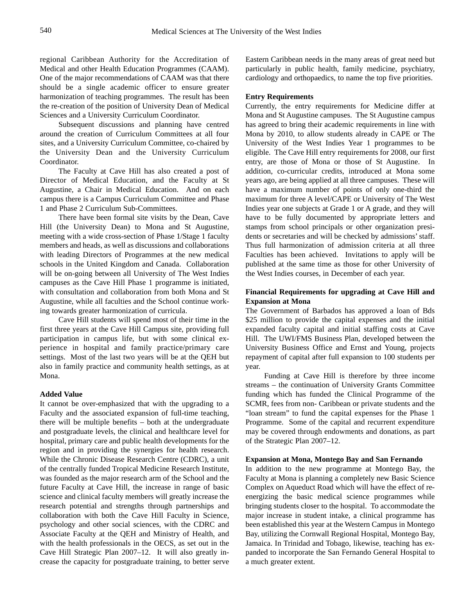regional Caribbean Authority for the Accreditation of Medical and other Health Education Programmes (CAAM). One of the major recommendations of CAAM was that there should be a single academic officer to ensure greater harmonization of teaching programmes. The result has been the re-creation of the position of University Dean of Medical Sciences and a University Curriculum Coordinator.

Subsequent discussions and planning have centred around the creation of Curriculum Committees at all four sites, and a University Curriculum Committee, co-chaired by the University Dean and the University Curriculum Coordinator.

The Faculty at Cave Hill has also created a post of Director of Medical Education, and the Faculty at St Augustine, a Chair in Medical Education. And on each campus there is a Campus Curriculum Committee and Phase 1 and Phase 2 Curriculum Sub-Committees.

There have been formal site visits by the Dean, Cave Hill (the University Dean) to Mona and St Augustine, meeting with a wide cross-section of Phase 1/Stage 1 faculty members and heads, as well as discussions and collaborations with leading Directors of Programmes at the new medical schools in the United Kingdom and Canada. Collaboration will be on-going between all University of The West Indies campuses as the Cave Hill Phase 1 programme is initiated, with consultation and collaboration from both Mona and St Augustine, while all faculties and the School continue working towards greater harmonization of curricula.

Cave Hill students will spend most of their time in the first three years at the Cave Hill Campus site, providing full participation in campus life, but with some clinical experience in hospital and family practice/primary care settings. Most of the last two years will be at the QEH but also in family practice and community health settings, as at Mona.

#### **Added Value**

It cannot be over-emphasized that with the upgrading to a Faculty and the associated expansion of full-time teaching, there will be multiple benefits – both at the undergraduate and postgraduate levels, the clinical and healthcare level for hospital, primary care and public health developments for the region and in providing the synergies for health research. While the Chronic Disease Research Centre (CDRC), a unit of the centrally funded Tropical Medicine Research Institute, was founded as the major research arm of the School and the future Faculty at Cave Hill, the increase in range of basic science and clinical faculty members will greatly increase the research potential and strengths through partnerships and collaboration with both the Cave Hill Faculty in Science, psychology and other social sciences, with the CDRC and Associate Faculty at the QEH and Ministry of Health, and with the health professionals in the OECS, as set out in the Cave Hill Strategic Plan 2007–12. It will also greatly increase the capacity for postgraduate training, to better serve Eastern Caribbean needs in the many areas of great need but particularly in public health, family medicine, psychiatry, cardiology and orthopaedics, to name the top five priorities.

## **Entry Requirements**

Currently, the entry requirements for Medicine differ at Mona and St Augustine campuses. The St Augustine campus has agreed to bring their academic requirements in line with Mona by 2010, to allow students already in CAPE or The University of the West Indies Year 1 programmes to be eligible. The Cave Hill entry requirements for 2008, our first entry, are those of Mona or those of St Augustine. In addition, co-curricular credits, introduced at Mona some years ago, are being applied at all three campuses. These will have a maximum number of points of only one-third the maximum for three A level/CAPE or University of The West Indies year one subjects at Grade 1 or A grade, and they will have to be fully documented by appropriate letters and stamps from school principals or other organization presidents or secretaries and will be checked by admissions' staff. Thus full harmonization of admission criteria at all three Faculties has been achieved. Invitations to apply will be published at the same time as those for other University of the West Indies courses, in December of each year.

# **Financial Requirements for upgrading at Cave Hill and Expansion at Mona**

The Government of Barbados has approved a loan of Bds \$25 million to provide the capital expenses and the initial expanded faculty capital and initial staffing costs at Cave Hill. The UWI/FMS Business Plan, developed between the University Business Office and Ernst and Young, projects repayment of capital after full expansion to 100 students per year.

Funding at Cave Hill is therefore by three income streams – the continuation of University Grants Committee funding which has funded the Clinical Programme of the SCMR, fees from non- Caribbean or private students and the "loan stream" to fund the capital expenses for the Phase 1 Programme. Some of the capital and recurrent expenditure may be covered through endowments and donations, as part of the Strategic Plan 2007–12.

#### **Expansion at Mona, Montego Bay and San Fernando**

In addition to the new programme at Montego Bay, the Faculty at Mona is planning a completely new Basic Science Complex on Aqueduct Road which will have the effect of reenergizing the basic medical science programmes while bringing students closer to the hospital. To accommodate the major increase in student intake, a clinical programme has been established this year at the Western Campus in Montego Bay, utilizing the Cornwall Regional Hospital, Montego Bay, Jamaica. In Trinidad and Tobago, likewise, teaching has expanded to incorporate the San Fernando General Hospital to a much greater extent.